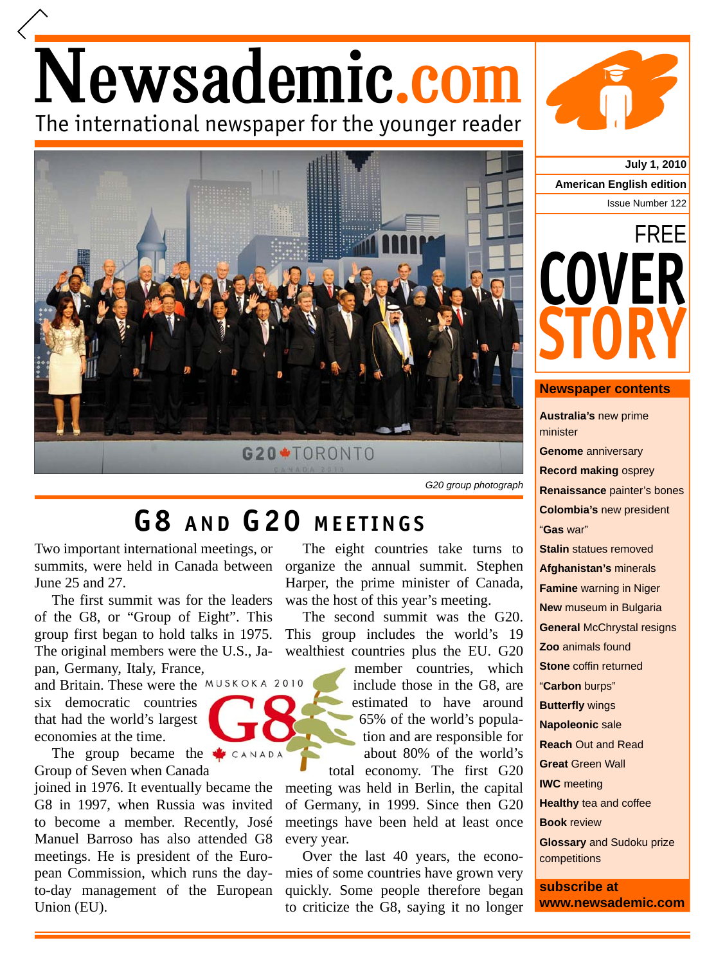## Newsademic.com The international newspaper for the younger reader



## **G8 AND G20 MEETINGS**

Two important international meetings, or summits, were held in Canada between June 25 and 27.

The first summit was for the leaders of the G8, or "Group of Eight". This group first began to hold talks in 1975. The original members were the U.S., Japan, Germany, Italy, France,

and Britain. These were the MUSKOKA 2010 six democratic countries that had the world's largest economies at the time.

The group became the Group of Seven when Canada

joined in 1976. It eventually became the G8 in 1997, when Russia was invited to become a member. Recently, José Manuel Barroso has also attended G8 meetings. He is president of the European Commission, which runs the dayto-day management of the European Union (EU).

The eight countries take turns to organize the annual summit. Stephen Harper, the prime minister of Canada, was the host of this year's meeting.

The second summit was the G20. This group includes the world's 19 wealthiest countries plus the EU. G20

> member countries, which m include those in the G8, are estimated to have around 65% of the world's popula-6 tion and are responsible for about 80% of the world's

total economy. The first G20 meeting was held in Berlin, the capital of Germany, in 1999. Since then G20 meetings have been held at least once every year.

Over the last 40 years, the economies of some countries have grown very quickly. Some people therefore began to criticize the G8, saying it no longer



**July 1, 2010 American English edition** Issue Number 122



## **Newspaper contents**

**Australia's** new prime minister **Genome** anniversary **Record making** osprey **Renaissance** painter's bones **Colombia's** new president "**Gas** war" **Stalin** statues removed **Afghanistan's** minerals **Famine** warning in Niger **New** museum in Bulgaria **General** McChrystal resigns **Zoo** animals found **Stone** coffin returned "**Carbon** burps" **Butterfly** wings **Napoleonic** sale **Reach** Out and Read **Great** Green Wall **IWC** meeting **Healthy** tea and coffee **Book** review **Glossary** and Sudoku prize competitions **subscribe at**

**www.newsademic.com**